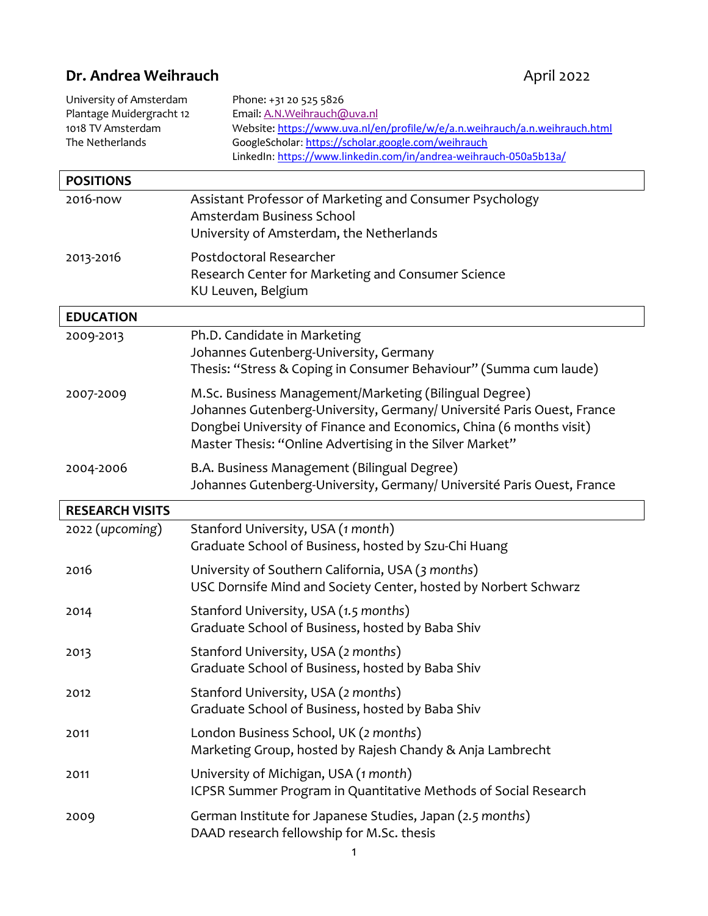# **Dr. Andrea Weihrauch April 2022**

| University of Amsterdam<br>Plantage Muidergracht 12<br>1018 TV Amsterdam<br>The Netherlands | Phone: +31 20 525 5826<br>Email: A.N.Weihrauch@uva.nl<br>Website: https://www.uva.nl/en/profile/w/e/a.n.weihrauch/a.n.weihrauch.html<br>GoogleScholar: https://scholar.google.com/weihrauch<br>LinkedIn: https://www.linkedin.com/in/andrea-weihrauch-050a5b13a/    |
|---------------------------------------------------------------------------------------------|---------------------------------------------------------------------------------------------------------------------------------------------------------------------------------------------------------------------------------------------------------------------|
| <b>POSITIONS</b>                                                                            |                                                                                                                                                                                                                                                                     |
| 2016-now                                                                                    | Assistant Professor of Marketing and Consumer Psychology<br>Amsterdam Business School<br>University of Amsterdam, the Netherlands                                                                                                                                   |
| 2013-2016                                                                                   | Postdoctoral Researcher<br>Research Center for Marketing and Consumer Science<br>KU Leuven, Belgium                                                                                                                                                                 |
| <b>EDUCATION</b>                                                                            |                                                                                                                                                                                                                                                                     |
| 2009-2013                                                                                   | Ph.D. Candidate in Marketing<br>Johannes Gutenberg-University, Germany<br>Thesis: "Stress & Coping in Consumer Behaviour" (Summa cum laude)                                                                                                                         |
| 2007-2009                                                                                   | M.Sc. Business Management/Marketing (Bilingual Degree)<br>Johannes Gutenberg-University, Germany/ Université Paris Ouest, France<br>Dongbei University of Finance and Economics, China (6 months visit)<br>Master Thesis: "Online Advertising in the Silver Market" |
| 2004-2006                                                                                   | B.A. Business Management (Bilingual Degree)<br>Johannes Gutenberg-University, Germany/ Université Paris Ouest, France                                                                                                                                               |
| <b>RESEARCH VISITS</b>                                                                      |                                                                                                                                                                                                                                                                     |
| 2022 (upcoming)                                                                             | Stanford University, USA (1 month)<br>Graduate School of Business, hosted by Szu-Chi Huang                                                                                                                                                                          |
| 2016                                                                                        | University of Southern California, USA (3 months)<br>USC Dornsife Mind and Society Center, hosted by Norbert Schwarz                                                                                                                                                |
| 2014                                                                                        | Stanford University, USA (1.5 months)<br>Graduate School of Business, hosted by Baba Shiv                                                                                                                                                                           |
| 2013                                                                                        | Stanford University, USA (2 months)<br>Graduate School of Business, hosted by Baba Shiv                                                                                                                                                                             |
| 2012                                                                                        | Stanford University, USA (2 months)<br>Graduate School of Business, hosted by Baba Shiv                                                                                                                                                                             |
| 2011                                                                                        | London Business School, UK (2 months)<br>Marketing Group, hosted by Rajesh Chandy & Anja Lambrecht                                                                                                                                                                  |
| 2011                                                                                        | University of Michigan, USA (1 month)<br>ICPSR Summer Program in Quantitative Methods of Social Research                                                                                                                                                            |
| 2009                                                                                        | German Institute for Japanese Studies, Japan (2.5 months)<br>DAAD research fellowship for M.Sc. thesis                                                                                                                                                              |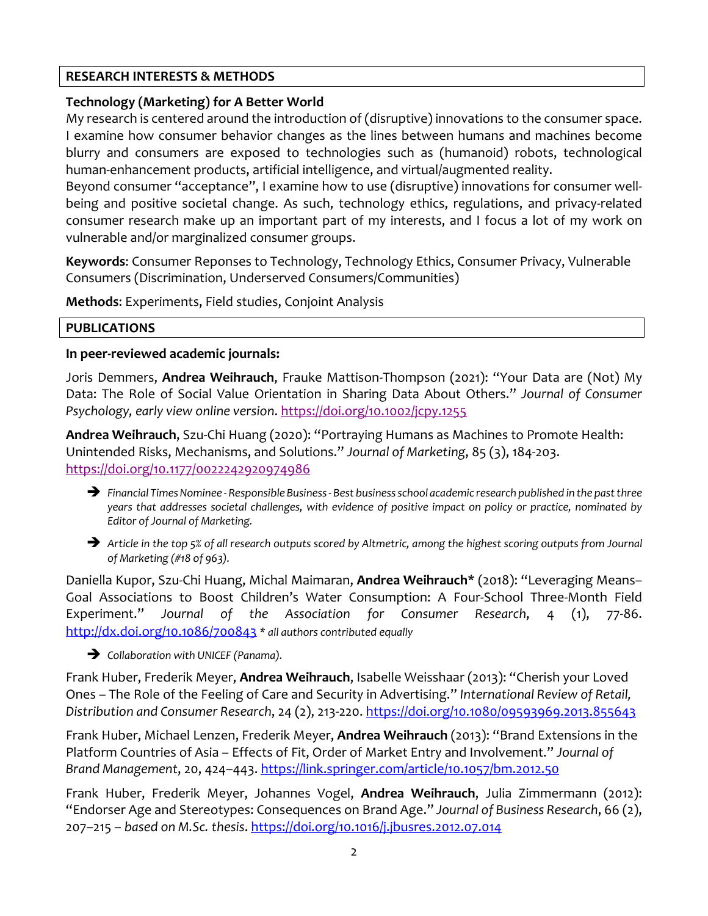## **RESEARCH INTERESTS & METHODS**

## **Technology (Marketing) for A Better World**

My research is centered around the introduction of (disruptive) innovations to the consumer space. I examine how consumer behavior changes as the lines between humans and machines become blurry and consumers are exposed to technologies such as (humanoid) robots, technological human-enhancement products, artificial intelligence, and virtual/augmented reality.

Beyond consumer "acceptance", I examine how to use (disruptive) innovations for consumer wellbeing and positive societal change. As such, technology ethics, regulations, and privacy-related consumer research make up an important part of my interests, and I focus a lot of my work on vulnerable and/or marginalized consumer groups.

**Keywords**: Consumer Reponses to Technology, Technology Ethics, Consumer Privacy, Vulnerable Consumers (Discrimination, Underserved Consumers/Communities)

**Methods**: Experiments, Field studies, Conjoint Analysis

## **PUBLICATIONS**

## **In peer-reviewed academic journals:**

Joris Demmers, **Andrea Weihrauch**, Frauke Mattison-Thompson (2021): "Your Data are (Not) My Data: The Role of Social Value Orientation in Sharing Data About Others." *Journal of Consumer Psychology, early view online version*. https://doi.org/10.1002/jcpy.1255

**Andrea Weihrauch**, Szu-Chi Huang (2020): "Portraying Humans as Machines to Promote Health: Unintended Risks, Mechanisms, and Solutions." *Journal of Marketing*, 85 (3), 184-203. https://doi.org/10.1177/0022242920974986

- è *Financial Times Nominee - Responsible Business - Best business school academic research published in the past three years that addresses societal challenges, with evidence of positive impact on policy or practice, nominated by Editor of Journal of Marketing.*
- è *Article in the top 5% of all research outputs scored by Altmetric, among the highest scoring outputs from Journal of Marketing (#18 of 963).*

Daniella Kupor, Szu-Chi Huang, Michal Maimaran, **Andrea Weihrauch**\* (2018): "Leveraging Means– Goal Associations to Boost Children's Water Consumption: A Four-School Three-Month Field Experiment." *Journal of the Association for Consumer Research*, 4 (1), 77-86. http://dx.doi.org/10.1086/700843 *\* all authors contributed equally*

è *Collaboration with UNICEF (Panama).*

Frank Huber, Frederik Meyer, **Andrea Weihrauch**, Isabelle Weisshaar (2013): "Cherish your Loved Ones – The Role of the Feeling of Care and Security in Advertising." *International Review of Retail, Distribution and Consumer Research*, 24 (2), 213-220. https://doi.org/10.1080/09593969.2013.855643

Frank Huber, Michael Lenzen, Frederik Meyer, **Andrea Weihrauch** (2013): "Brand Extensions in the Platform Countries of Asia – Effects of Fit, Order of Market Entry and Involvement." *Journal of Brand Management*, 20, 424–443. https://link.springer.com/article/10.1057/bm.2012.50

Frank Huber, Frederik Meyer, Johannes Vogel, **Andrea Weihrauch**, Julia Zimmermann (2012): "Endorser Age and Stereotypes: Consequences on Brand Age." *Journal of Business Research*, 66 (2), 207–215 – *based on M.Sc. thesis*. https://doi.org/10.1016/j.jbusres.2012.07.014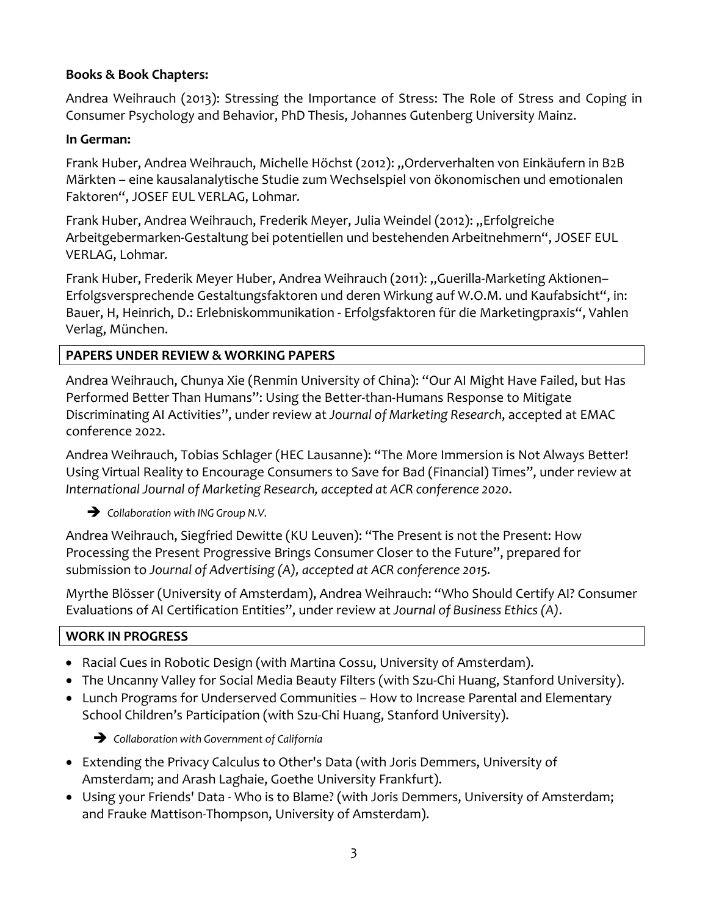## **Books & Book Chapters:**

Andrea Weihrauch (2013): Stressing the Importance of Stress: The Role of Stress and Coping in Consumer Psychology and Behavior, PhD Thesis, Johannes Gutenberg University Mainz.

### **In German:**

Frank Huber, Andrea Weihrauch, Michelle Höchst (2012): "Orderverhalten von Einkäufern in B2B Märkten – eine kausalanalytische Studie zum Wechselspiel von ökonomischen und emotionalen Faktoren", JOSEF EUL VERLAG, Lohmar*.*

Frank Huber, Andrea Weihrauch, Frederik Meyer, Julia Weindel (2012): "Erfolgreiche Arbeitgebermarken-Gestaltung bei potentiellen und bestehenden Arbeitnehmern", JOSEF EUL VERLAG, Lohmar*.*

Frank Huber, Frederik Meyer Huber, Andrea Weihrauch (2011): "Guerilla-Marketing Aktionen– Erfolgsversprechende Gestaltungsfaktoren und deren Wirkung auf W.O.M. und Kaufabsicht", in: Bauer, H, Heinrich, D.: Erlebniskommunikation - Erfolgsfaktoren für die Marketingpraxis", Vahlen Verlag, München.

## **PAPERS UNDER REVIEW & WORKING PAPERS**

Andrea Weihrauch, Chunya Xie (Renmin University of China): "Our AI Might Have Failed, but Has Performed Better Than Humans": Using the Better-than-Humans Response to Mitigate Discriminating AI Activities", under review at *Journal of Marketing Research*, accepted at EMAC conference 2022.

Andrea Weihrauch, Tobias Schlager (HEC Lausanne): "The More Immersion is Not Always Better! Using Virtual Reality to Encourage Consumers to Save for Bad (Financial) Times", under review at *International Journal of Marketing Research, accepted at ACR conference 2020*.

 $\rightarrow$  Collaboration with ING Group N.V.

Andrea Weihrauch, Siegfried Dewitte (KU Leuven): "The Present is not the Present: How Processing the Present Progressive Brings Consumer Closer to the Future", prepared for submission to *Journal of Advertising (A), accepted at ACR conference 2015.*

Myrthe Blösser (University of Amsterdam), Andrea Weihrauch: "Who Should Certify AI? Consumer Evaluations of AI Certification Entities", under review at *Journal of Business Ethics (A)*.

## **WORK IN PROGRESS**

- Racial Cues in Robotic Design (with Martina Cossu, University of Amsterdam).
- The Uncanny Valley for Social Media Beauty Filters (with Szu-Chi Huang, Stanford University).
- Lunch Programs for Underserved Communities How to Increase Parental and Elementary School Children's Participation (with Szu-Chi Huang, Stanford University).

è *Collaboration with Government of California*

- Extending the Privacy Calculus to Other's Data (with Joris Demmers, University of Amsterdam; and Arash Laghaie, Goethe University Frankfurt).
- Using your Friends' Data Who is to Blame? (with Joris Demmers, University of Amsterdam; and Frauke Mattison-Thompson, University of Amsterdam).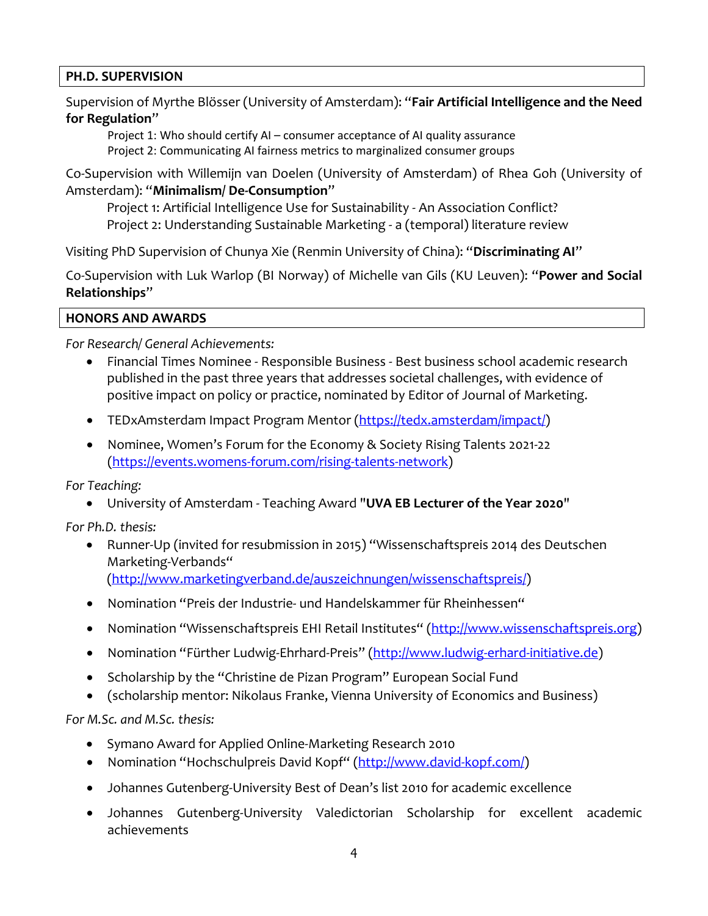## **PH.D. SUPERVISION**

Supervision of Myrthe Blösser (University of Amsterdam): "**Fair Artificial Intelligence and the Need for Regulation**"

Project 1: Who should certify AI – consumer acceptance of AI quality assurance Project 2: Communicating AI fairness metrics to marginalized consumer groups

Co-Supervision with Willemijn van Doelen (University of Amsterdam) of Rhea Goh (University of Amsterdam): "**Minimalism/ De-Consumption**"

Project 1: Artificial Intelligence Use for Sustainability - An Association Conflict? Project 2: Understanding Sustainable Marketing - a (temporal) literature review

Visiting PhD Supervision of Chunya Xie (Renmin University of China): "**Discriminating AI**"

Co-Supervision with Luk Warlop (BI Norway) of Michelle van Gils (KU Leuven): "**Power and Social Relationships**"

**HONORS AND AWARDS**

*For Research/ General Achievements:*

- Financial Times Nominee Responsible Business Best business school academic research published in the past three years that addresses societal challenges, with evidence of positive impact on policy or practice, nominated by Editor of Journal of Marketing.
- TEDxAmsterdam Impact Program Mentor (https://tedx.amsterdam/impact/)
- Nominee, Women's Forum for the Economy & Society Rising Talents 2021-22 (https://events.womens-forum.com/rising-talents-network)

*For Teaching:*

• University of Amsterdam - Teaching Award "**UVA EB Lecturer of the Year 2020**"

*For Ph.D. thesis:*

- Runner-Up (invited for resubmission in 2015) "Wissenschaftspreis 2014 des Deutschen Marketing-Verbands" (http://www.marketingverband.de/auszeichnungen/wissenschaftspreis/)
- Nomination "Preis der Industrie- und Handelskammer für Rheinhessen"
- Nomination "Wissenschaftspreis EHI Retail Institutes" (http://www.wissenschaftspreis.org)
- Nomination "Fürther Ludwig-Ehrhard-Preis" (http://www.ludwig-erhard-initiative.de)
- Scholarship by the "Christine de Pizan Program" European Social Fund
- (scholarship mentor: Nikolaus Franke, Vienna University of Economics and Business)

*For M.Sc. and M.Sc. thesis:*

- Symano Award for Applied Online-Marketing Research 2010
- Nomination "Hochschulpreis David Kopf" (http://www.david-kopf.com/)
- Johannes Gutenberg-University Best of Dean's list 2010 for academic excellence
- Johannes Gutenberg-University Valedictorian Scholarship for excellent academic achievements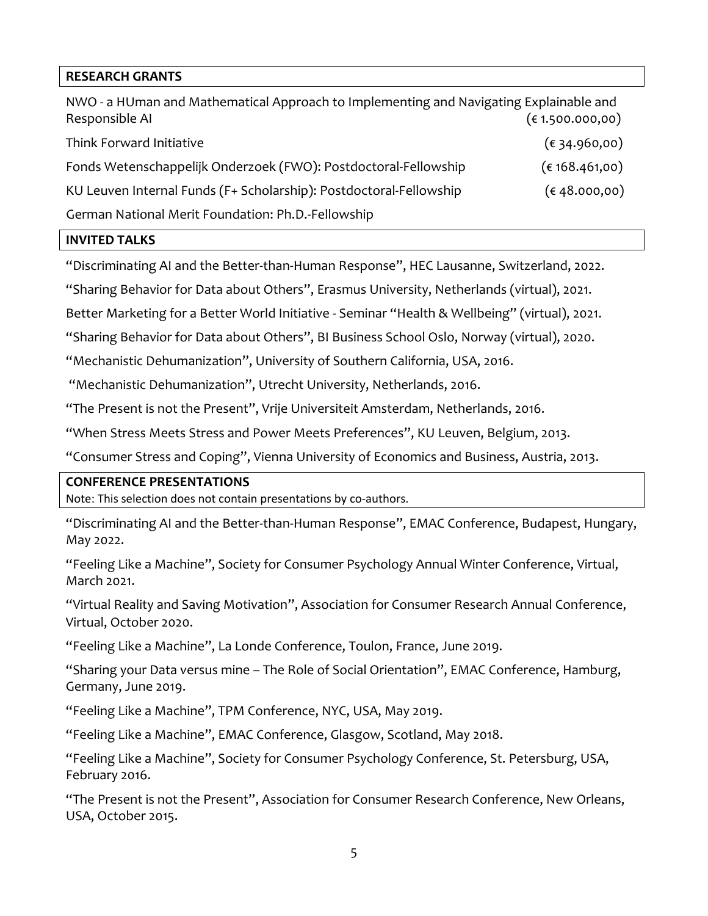## **RESEARCH GRANTS**

| NWO - a HUman and Mathematical Approach to Implementing and Navigating Explainable and |                        |
|----------------------------------------------------------------------------------------|------------------------|
| Responsible AI                                                                         | (61.500.000, 00)       |
| Think Forward Initiative                                                               | (6, 34.960, 00)        |
| Fonds Wetenschappelijk Onderzoek (FWO): Postdoctoral-Fellowship                        | (€168.461,00)          |
| KU Leuven Internal Funds (F+ Scholarship): Postdoctoral-Fellowship                     | $(\epsilon$ 48.000,00) |
| German National Merit Foundation: Ph.D.-Fellowship                                     |                        |

#### **INVITED TALKS**

"Discriminating AI and the Better-than-Human Response", HEC Lausanne, Switzerland, 2022.

"Sharing Behavior for Data about Others", Erasmus University, Netherlands (virtual), 2021.

Better Marketing for a Better World Initiative - Seminar "Health & Wellbeing" (virtual), 2021.

"Sharing Behavior for Data about Others", BI Business School Oslo, Norway (virtual), 2020.

"Mechanistic Dehumanization", University of Southern California, USA, 2016.

"Mechanistic Dehumanization", Utrecht University, Netherlands, 2016.

"The Present is not the Present", Vrije Universiteit Amsterdam, Netherlands, 2016.

"When Stress Meets Stress and Power Meets Preferences", KU Leuven, Belgium, 2013.

"Consumer Stress and Coping", Vienna University of Economics and Business, Austria, 2013.

#### **CONFERENCE PRESENTATIONS**

Note: This selection does not contain presentations by co-authors.

"Discriminating AI and the Better-than-Human Response", EMAC Conference, Budapest, Hungary, May 2022.

"Feeling Like a Machine", Society for Consumer Psychology Annual Winter Conference, Virtual, March 2021.

"Virtual Reality and Saving Motivation", Association for Consumer Research Annual Conference, Virtual, October 2020.

"Feeling Like a Machine", La Londe Conference, Toulon, France, June 2019.

"Sharing your Data versus mine – The Role of Social Orientation", EMAC Conference, Hamburg, Germany, June 2019.

"Feeling Like a Machine", TPM Conference, NYC, USA, May 2019.

"Feeling Like a Machine", EMAC Conference, Glasgow, Scotland, May 2018.

"Feeling Like a Machine", Society for Consumer Psychology Conference, St. Petersburg, USA, February 2016.

"The Present is not the Present", Association for Consumer Research Conference, New Orleans, USA, October 2015.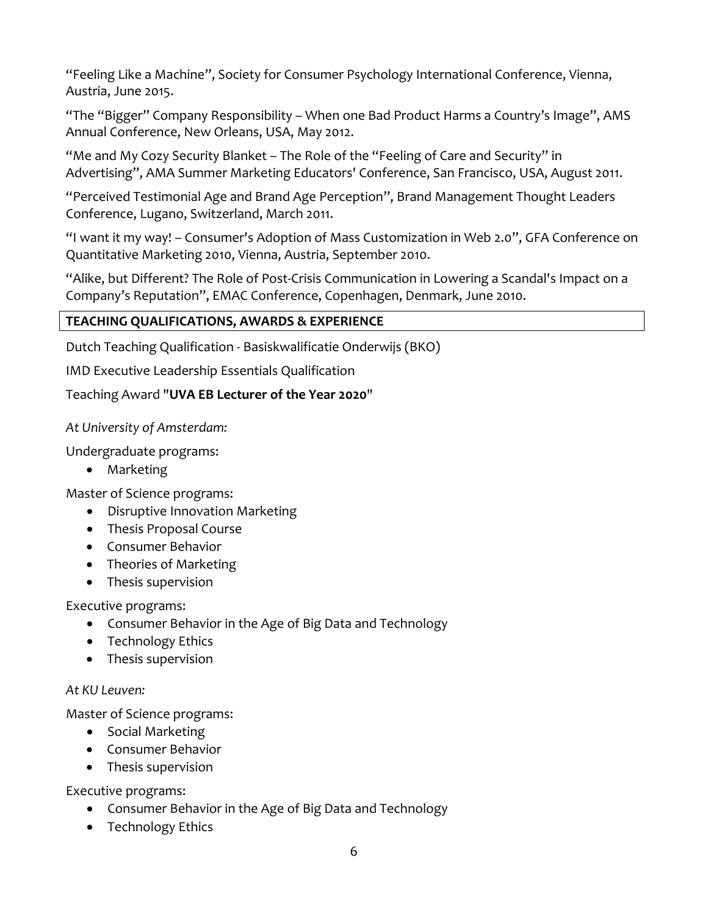"Feeling Like a Machine", Society for Consumer Psychology International Conference, Vienna, Austria, June 2015.

"The "Bigger" Company Responsibility – When one Bad Product Harms a Country's Image", AMS Annual Conference, New Orleans, USA, May 2012.

"Me and My Cozy Security Blanket – The Role of the "Feeling of Care and Security" in Advertising", AMA Summer Marketing Educators' Conference, San Francisco, USA, August 2011.

"Perceived Testimonial Age and Brand Age Perception", Brand Management Thought Leaders Conference, Lugano, Switzerland, March 2011.

"I want it my way! – Consumer's Adoption of Mass Customization in Web 2.0", GFA Conference on Quantitative Marketing 2010, Vienna, Austria, September 2010.

"Alike, but Different? The Role of Post-Crisis Communication in Lowering a Scandal's Impact on a Company's Reputation", EMAC Conference, Copenhagen, Denmark, June 2010.

## **TEACHING QUALIFICATIONS, AWARDS & EXPERIENCE**

Dutch Teaching Qualification - Basiskwalificatie Onderwijs (BKO)

IMD Executive Leadership Essentials Qualification

Teaching Award "**UVA EB Lecturer of the Year 2020**"

*At University of Amsterdam:*

Undergraduate programs:

• Marketing

Master of Science programs:

- Disruptive Innovation Marketing
- Thesis Proposal Course
- Consumer Behavior
- Theories of Marketing
- Thesis supervision

Executive programs:

- Consumer Behavior in the Age of Big Data and Technology
- Technology Ethics
- Thesis supervision

## *At KU Leuven:*

Master of Science programs:

- Social Marketing
- Consumer Behavior
- Thesis supervision

Executive programs:

- Consumer Behavior in the Age of Big Data and Technology
- Technology Ethics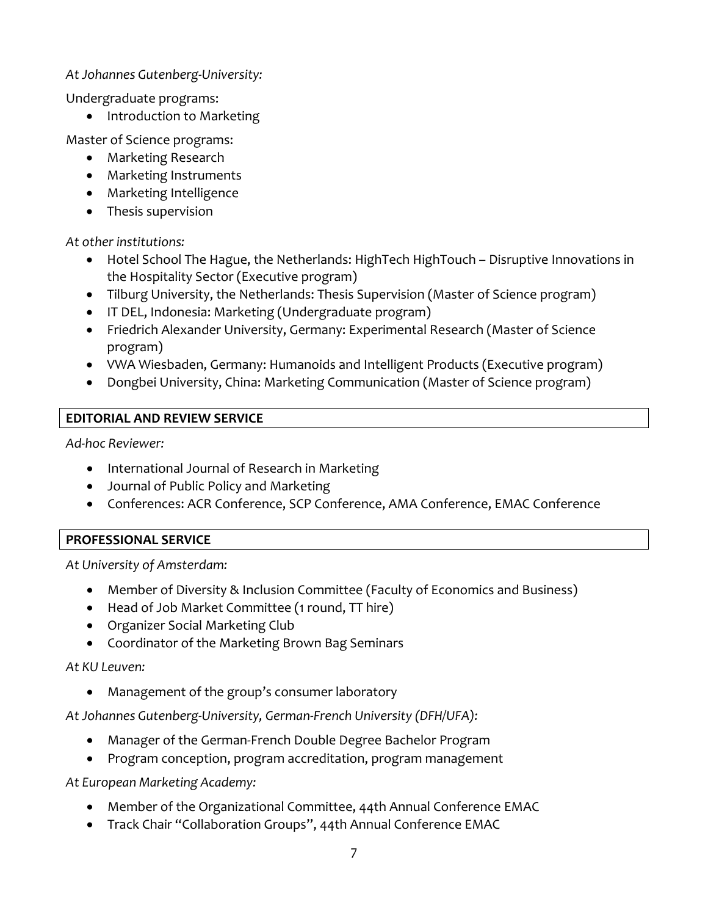## *At Johannes Gutenberg-University:*

Undergraduate programs:

• Introduction to Marketing

Master of Science programs:

- Marketing Research
- Marketing Instruments
- Marketing Intelligence
- Thesis supervision

*At other institutions:*

- Hotel School The Hague, the Netherlands: HighTech HighTouch Disruptive Innovations in the Hospitality Sector (Executive program)
- Tilburg University, the Netherlands: Thesis Supervision (Master of Science program)
- IT DEL, Indonesia: Marketing (Undergraduate program)
- Friedrich Alexander University, Germany: Experimental Research (Master of Science program)
- VWA Wiesbaden, Germany: Humanoids and Intelligent Products (Executive program)
- Dongbei University, China: Marketing Communication (Master of Science program)

## **EDITORIAL AND REVIEW SERVICE**

*Ad-hoc Reviewer:* 

- International Journal of Research in Marketing
- Journal of Public Policy and Marketing
- Conferences: ACR Conference, SCP Conference, AMA Conference, EMAC Conference

## **PROFESSIONAL SERVICE**

*At University of Amsterdam:* 

- Member of Diversity & Inclusion Committee (Faculty of Economics and Business)
- Head of Job Market Committee (1 round, TT hire)
- Organizer Social Marketing Club
- Coordinator of the Marketing Brown Bag Seminars

## *At KU Leuven:*

• Management of the group's consumer laboratory

*At Johannes Gutenberg-University, German-French University (DFH/UFA):*

- Manager of the German-French Double Degree Bachelor Program
- Program conception, program accreditation, program management

*At European Marketing Academy:*

- Member of the Organizational Committee, 44th Annual Conference EMAC
- Track Chair "Collaboration Groups", 44th Annual Conference EMAC